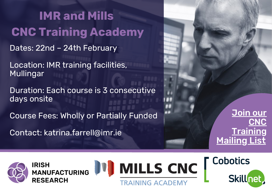Dates: 22nd – 24th February Location: IMR training facilities, Mullingar Duration: Each course is 3 consecutive days onsite Course Fees: Wholly or Partially Funded Contact: katrina.farrell@imr.ie **IMR and Mills CNC Training Academy**

Join our **CNC [Training](http://eepurl.com/guuc-T) [Mailing](http://eepurl.com/guuc-T) List** 



**IRISH MANUFACTURING RESEARCH** 





**Cobotics**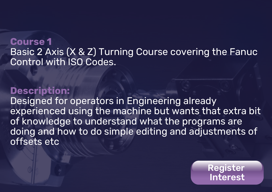## **Course 1** Basic 2 Axis (X & Z) Turning Course covering the Fanuc Control with ISO Codes.

#### **Description:**

Designed for operators in Engineering already experienced using the machine but wants that extra bit of knowledge to understand what the programs are doing and how to do simple editing and adjustments of offsets etc

> [Register](https://forms.office.com/r/mHJYayTFFA) Interest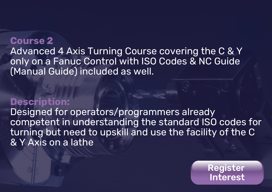## **Course 2** Advanced 4 Axis Turning Course covering the C & Y only on a Fanuc Control with ISO Codes & NC Guide (Manual Guide) included as well.

### **Description:**

Designed for operators/programmers already competent in understanding the standard ISO codes for turning but need to upskill and use the facility of the C & Y Axis on a lathe

> [Register](https://forms.office.com/r/mHJYayTFFA) Interest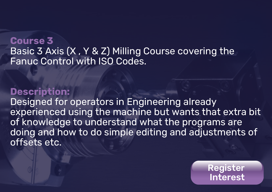## **Course 3** Basic 3 Axis (X , Y & Z) Milling Course covering the Fanuc Control with ISO Codes.

### **Description:**

Designed for operators in Engineering already experienced using the machine but wants that extra bit of knowledge to understand what the programs are doing and how to do simple editing and adjustments of offsets etc.

> [Register](https://forms.office.com/r/mHJYayTFFA) Interest